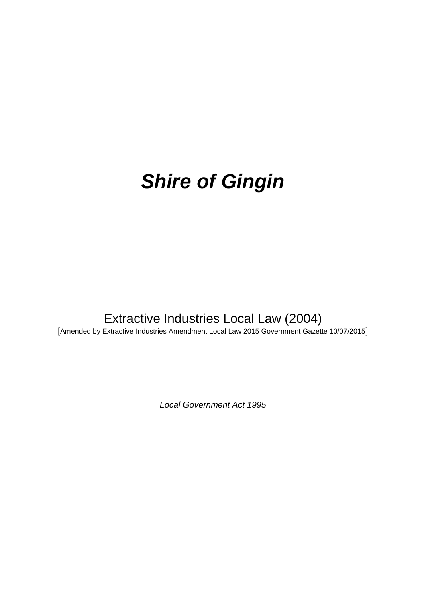# *Shire of Gingin*

# Extractive Industries Local Law (2004)

[Amended by Extractive Industries Amendment Local Law 2015 Government Gazette 10/07/2015]

*Local Government Act 1995*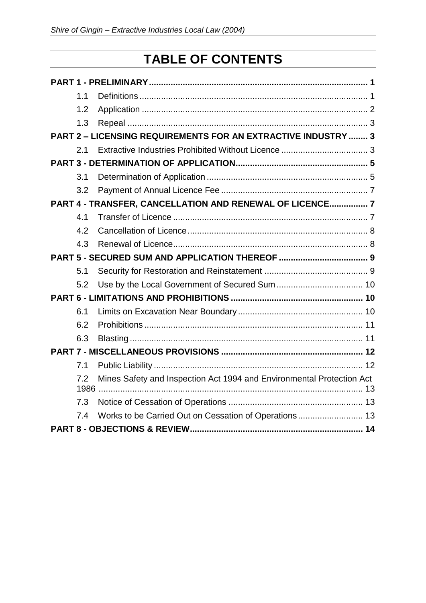# **TABLE OF CONTENTS**

|                                                                      | 1.1 |                                                                       |  |  |  |
|----------------------------------------------------------------------|-----|-----------------------------------------------------------------------|--|--|--|
|                                                                      | 1.2 |                                                                       |  |  |  |
|                                                                      | 1.3 |                                                                       |  |  |  |
| <b>PART 2 - LICENSING REQUIREMENTS FOR AN EXTRACTIVE INDUSTRY  3</b> |     |                                                                       |  |  |  |
|                                                                      | 2.1 |                                                                       |  |  |  |
|                                                                      |     |                                                                       |  |  |  |
|                                                                      | 3.1 |                                                                       |  |  |  |
|                                                                      | 3.2 |                                                                       |  |  |  |
| PART 4 - TRANSFER, CANCELLATION AND RENEWAL OF LICENCE 7             |     |                                                                       |  |  |  |
|                                                                      | 4.1 |                                                                       |  |  |  |
|                                                                      | 4.2 |                                                                       |  |  |  |
|                                                                      | 4.3 |                                                                       |  |  |  |
|                                                                      |     |                                                                       |  |  |  |
|                                                                      | 5.1 |                                                                       |  |  |  |
|                                                                      | 5.2 |                                                                       |  |  |  |
|                                                                      |     |                                                                       |  |  |  |
|                                                                      | 6.1 |                                                                       |  |  |  |
|                                                                      | 6.2 |                                                                       |  |  |  |
|                                                                      | 6.3 |                                                                       |  |  |  |
|                                                                      |     |                                                                       |  |  |  |
|                                                                      | 7.1 |                                                                       |  |  |  |
|                                                                      | 7.2 | Mines Safety and Inspection Act 1994 and Environmental Protection Act |  |  |  |
|                                                                      | 7.3 |                                                                       |  |  |  |
|                                                                      | 7.4 | Works to be Carried Out on Cessation of Operations 13                 |  |  |  |
|                                                                      |     |                                                                       |  |  |  |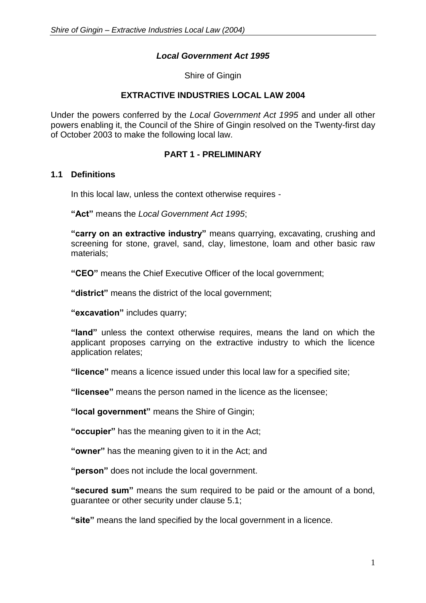### *Local Government Act 1995*

Shire of Gingin

#### **EXTRACTIVE INDUSTRIES LOCAL LAW 2004**

Under the powers conferred by the *Local Government Act 1995* and under all other powers enabling it, the Council of the Shire of Gingin resolved on the Twenty-first day of October 2003 to make the following local law.

#### **PART 1 - PRELIMINARY**

#### <span id="page-2-1"></span><span id="page-2-0"></span>**1.1 Definitions**

In this local law, unless the context otherwise requires -

**"Act"** means the *Local Government Act 1995*;

**"carry on an extractive industry"** means quarrying, excavating, crushing and screening for stone, gravel, sand, clay, limestone, loam and other basic raw materials;

**"CEO"** means the Chief Executive Officer of the local government;

**"district"** means the district of the local government;

**"excavation"** includes quarry;

**"land"** unless the context otherwise requires, means the land on which the applicant proposes carrying on the extractive industry to which the licence application relates;

**"licence"** means a licence issued under this local law for a specified site;

**"licensee"** means the person named in the licence as the licensee;

**"local government"** means the Shire of Gingin;

**"occupier"** has the meaning given to it in the Act;

**"owner"** has the meaning given to it in the Act; and

**"person"** does not include the local government.

**"secured sum"** means the sum required to be paid or the amount of a bond, guarantee or other security under clause 5.1;

**"site"** means the land specified by the local government in a licence.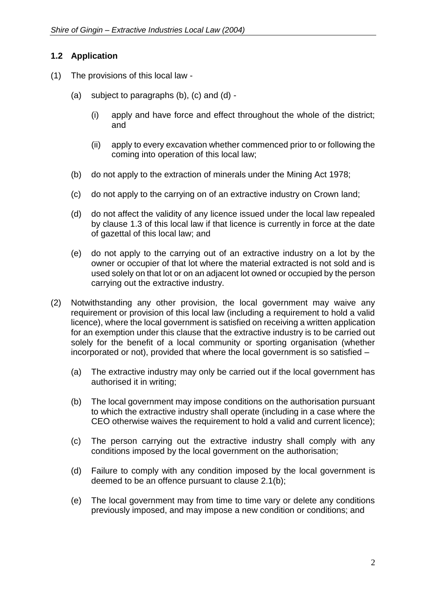# <span id="page-3-0"></span>**1.2 Application**

- (1) The provisions of this local law
	- (a) subject to paragraphs (b), (c) and (d)
		- (i) apply and have force and effect throughout the whole of the district; and
		- (ii) apply to every excavation whether commenced prior to or following the coming into operation of this local law;
	- (b) do not apply to the extraction of minerals under the Mining Act 1978;
	- (c) do not apply to the carrying on of an extractive industry on Crown land;
	- (d) do not affect the validity of any licence issued under the local law repealed by clause 1.3 of this local law if that licence is currently in force at the date of gazettal of this local law; and
	- (e) do not apply to the carrying out of an extractive industry on a lot by the owner or occupier of that lot where the material extracted is not sold and is used solely on that lot or on an adjacent lot owned or occupied by the person carrying out the extractive industry.
- (2) Notwithstanding any other provision, the local government may waive any requirement or provision of this local law (including a requirement to hold a valid licence), where the local government is satisfied on receiving a written application for an exemption under this clause that the extractive industry is to be carried out solely for the benefit of a local community or sporting organisation (whether incorporated or not), provided that where the local government is so satisfied –
	- (a) The extractive industry may only be carried out if the local government has authorised it in writing;
	- (b) The local government may impose conditions on the authorisation pursuant to which the extractive industry shall operate (including in a case where the CEO otherwise waives the requirement to hold a valid and current licence);
	- (c) The person carrying out the extractive industry shall comply with any conditions imposed by the local government on the authorisation;
	- (d) Failure to comply with any condition imposed by the local government is deemed to be an offence pursuant to clause 2.1(b);
	- (e) The local government may from time to time vary or delete any conditions previously imposed, and may impose a new condition or conditions; and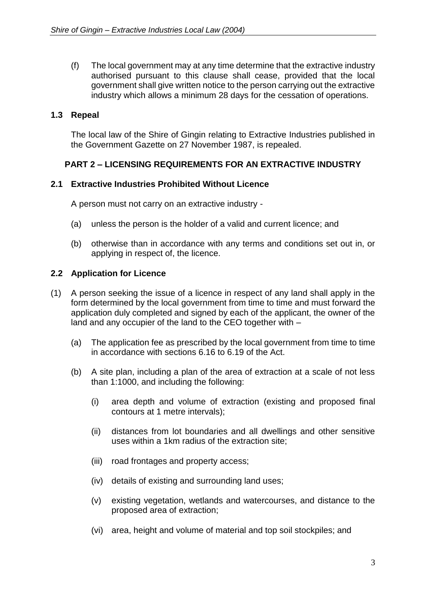(f) The local government may at any time determine that the extractive industry authorised pursuant to this clause shall cease, provided that the local government shall give written notice to the person carrying out the extractive industry which allows a minimum 28 days for the cessation of operations.

# <span id="page-4-0"></span>**1.3 Repeal**

The local law of the Shire of Gingin relating to Extractive Industries published in the Government Gazette on 27 November 1987, is repealed.

### <span id="page-4-1"></span>**PART 2 – LICENSING REQUIREMENTS FOR AN EXTRACTIVE INDUSTRY**

### <span id="page-4-2"></span>**2.1 Extractive Industries Prohibited Without Licence**

A person must not carry on an extractive industry -

- (a) unless the person is the holder of a valid and current licence; and
- (b) otherwise than in accordance with any terms and conditions set out in, or applying in respect of, the licence.

#### **2.2 Application for Licence**

- (1) A person seeking the issue of a licence in respect of any land shall apply in the form determined by the local government from time to time and must forward the application duly completed and signed by each of the applicant, the owner of the land and any occupier of the land to the CEO together with –
	- (a) The application fee as prescribed by the local government from time to time in accordance with sections 6.16 to 6.19 of the Act.
	- (b) A site plan, including a plan of the area of extraction at a scale of not less than 1:1000, and including the following:
		- (i) area depth and volume of extraction (existing and proposed final contours at 1 metre intervals);
		- (ii) distances from lot boundaries and all dwellings and other sensitive uses within a 1km radius of the extraction site;
		- (iii) road frontages and property access;
		- (iv) details of existing and surrounding land uses;
		- (v) existing vegetation, wetlands and watercourses, and distance to the proposed area of extraction;
		- (vi) area, height and volume of material and top soil stockpiles; and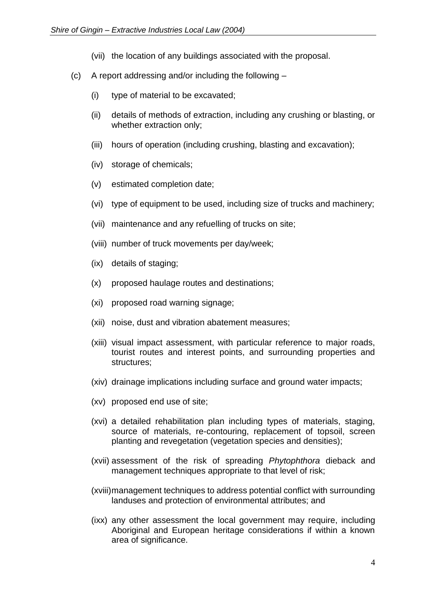- (vii) the location of any buildings associated with the proposal.
- (c) A report addressing and/or including the following
	- (i) type of material to be excavated;
	- (ii) details of methods of extraction, including any crushing or blasting, or whether extraction only;
	- (iii) hours of operation (including crushing, blasting and excavation);
	- (iv) storage of chemicals;
	- (v) estimated completion date;
	- (vi) type of equipment to be used, including size of trucks and machinery;
	- (vii) maintenance and any refuelling of trucks on site;
	- (viii) number of truck movements per day/week;
	- (ix) details of staging;
	- (x) proposed haulage routes and destinations;
	- (xi) proposed road warning signage;
	- (xii) noise, dust and vibration abatement measures;
	- (xiii) visual impact assessment, with particular reference to major roads, tourist routes and interest points, and surrounding properties and structures;
	- (xiv) drainage implications including surface and ground water impacts;
	- (xv) proposed end use of site;
	- (xvi) a detailed rehabilitation plan including types of materials, staging, source of materials, re-contouring, replacement of topsoil, screen planting and revegetation (vegetation species and densities);
	- (xvii) assessment of the risk of spreading *Phytophthora* dieback and management techniques appropriate to that level of risk;
	- (xviii)management techniques to address potential conflict with surrounding landuses and protection of environmental attributes; and
	- (ixx) any other assessment the local government may require, including Aboriginal and European heritage considerations if within a known area of significance.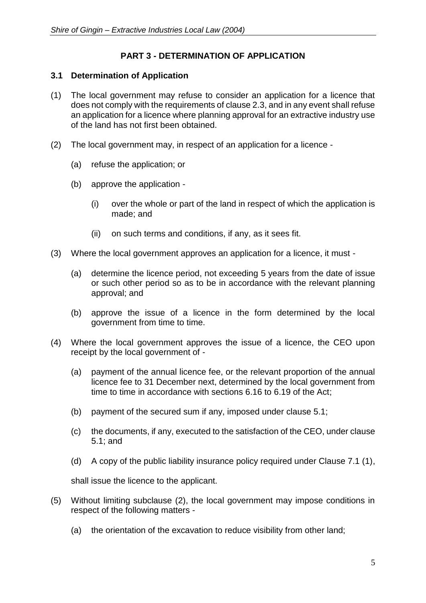# **PART 3 - DETERMINATION OF APPLICATION**

#### <span id="page-6-1"></span><span id="page-6-0"></span>**3.1 Determination of Application**

- (1) The local government may refuse to consider an application for a licence that does not comply with the requirements of clause 2.3, and in any event shall refuse an application for a licence where planning approval for an extractive industry use of the land has not first been obtained.
- (2) The local government may, in respect of an application for a licence
	- (a) refuse the application; or
	- (b) approve the application
		- (i) over the whole or part of the land in respect of which the application is made; and
		- (ii) on such terms and conditions, if any, as it sees fit.
- (3) Where the local government approves an application for a licence, it must
	- (a) determine the licence period, not exceeding 5 years from the date of issue or such other period so as to be in accordance with the relevant planning approval; and
	- (b) approve the issue of a licence in the form determined by the local government from time to time.
- (4) Where the local government approves the issue of a licence, the CEO upon receipt by the local government of -
	- (a) payment of the annual licence fee, or the relevant proportion of the annual licence fee to 31 December next, determined by the local government from time to time in accordance with sections 6.16 to 6.19 of the Act;
	- (b) payment of the secured sum if any, imposed under clause 5.1;
	- (c) the documents, if any, executed to the satisfaction of the CEO, under clause 5.1; and
	- (d) A copy of the public liability insurance policy required under Clause 7.1 (1),

shall issue the licence to the applicant.

- (5) Without limiting subclause (2), the local government may impose conditions in respect of the following matters -
	- (a) the orientation of the excavation to reduce visibility from other land;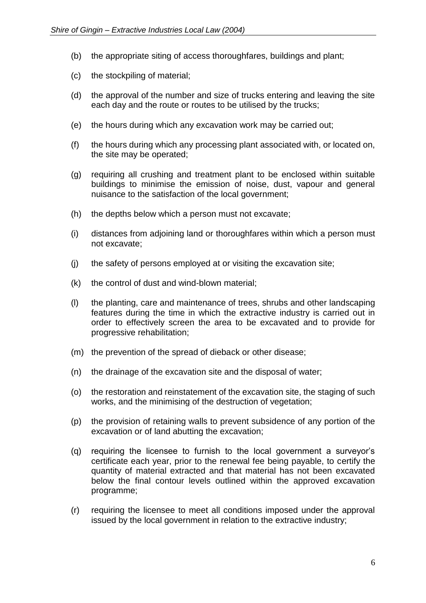- (b) the appropriate siting of access thoroughfares, buildings and plant;
- (c) the stockpiling of material;
- (d) the approval of the number and size of trucks entering and leaving the site each day and the route or routes to be utilised by the trucks;
- (e) the hours during which any excavation work may be carried out;
- (f) the hours during which any processing plant associated with, or located on, the site may be operated;
- (g) requiring all crushing and treatment plant to be enclosed within suitable buildings to minimise the emission of noise, dust, vapour and general nuisance to the satisfaction of the local government;
- (h) the depths below which a person must not excavate;
- (i) distances from adjoining land or thoroughfares within which a person must not excavate;
- (j) the safety of persons employed at or visiting the excavation site;
- (k) the control of dust and wind-blown material;
- (l) the planting, care and maintenance of trees, shrubs and other landscaping features during the time in which the extractive industry is carried out in order to effectively screen the area to be excavated and to provide for progressive rehabilitation;
- (m) the prevention of the spread of dieback or other disease;
- (n) the drainage of the excavation site and the disposal of water;
- (o) the restoration and reinstatement of the excavation site, the staging of such works, and the minimising of the destruction of vegetation;
- (p) the provision of retaining walls to prevent subsidence of any portion of the excavation or of land abutting the excavation;
- (q) requiring the licensee to furnish to the local government a surveyor's certificate each year, prior to the renewal fee being payable, to certify the quantity of material extracted and that material has not been excavated below the final contour levels outlined within the approved excavation programme;
- (r) requiring the licensee to meet all conditions imposed under the approval issued by the local government in relation to the extractive industry;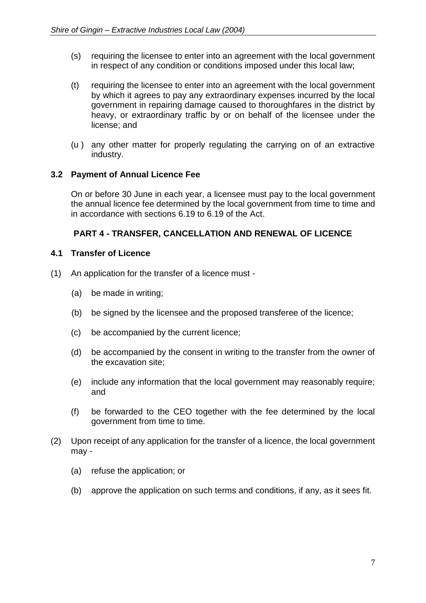- (s) requiring the licensee to enter into an agreement with the local government in respect of any condition or conditions imposed under this local law;
- (t) requiring the licensee to enter into an agreement with the local government by which it agrees to pay any extraordinary expenses incurred by the local government in repairing damage caused to thoroughfares in the district by heavy, or extraordinary traffic by or on behalf of the licensee under the license; and
- (u ) any other matter for properly regulating the carrying on of an extractive industry.

### <span id="page-8-0"></span>**3.2 Payment of Annual Licence Fee**

On or before 30 June in each year, a licensee must pay to the local government the annual licence fee determined by the local government from time to time and in accordance with sections 6.19 to 6.19 of the Act.

# **PART 4 - TRANSFER, CANCELLATION AND RENEWAL OF LICENCE**

### <span id="page-8-2"></span><span id="page-8-1"></span>**4.1 Transfer of Licence**

- (1) An application for the transfer of a licence must
	- (a) be made in writing;
	- (b) be signed by the licensee and the proposed transferee of the licence;
	- (c) be accompanied by the current licence;
	- (d) be accompanied by the consent in writing to the transfer from the owner of the excavation site;
	- (e) include any information that the local government may reasonably require; and
	- (f) be forwarded to the CEO together with the fee determined by the local government from time to time.
- (2) Upon receipt of any application for the transfer of a licence, the local government may -
	- (a) refuse the application; or
	- (b) approve the application on such terms and conditions, if any, as it sees fit.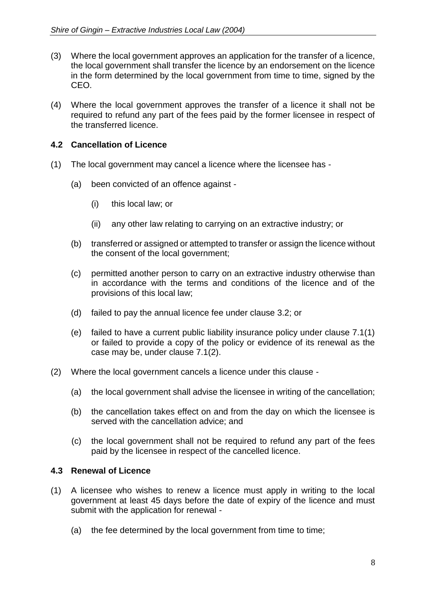- (3) Where the local government approves an application for the transfer of a licence, the local government shall transfer the licence by an endorsement on the licence in the form determined by the local government from time to time, signed by the CEO.
- (4) Where the local government approves the transfer of a licence it shall not be required to refund any part of the fees paid by the former licensee in respect of the transferred licence.

# <span id="page-9-0"></span>**4.2 Cancellation of Licence**

- (1) The local government may cancel a licence where the licensee has
	- (a) been convicted of an offence against
		- (i) this local law; or
		- (ii) any other law relating to carrying on an extractive industry; or
	- (b) transferred or assigned or attempted to transfer or assign the licence without the consent of the local government;
	- (c) permitted another person to carry on an extractive industry otherwise than in accordance with the terms and conditions of the licence and of the provisions of this local law;
	- (d) failed to pay the annual licence fee under clause 3.2; or
	- (e) failed to have a current public liability insurance policy under clause 7.1(1) or failed to provide a copy of the policy or evidence of its renewal as the case may be, under clause 7.1(2).
- (2) Where the local government cancels a licence under this clause
	- (a) the local government shall advise the licensee in writing of the cancellation;
	- (b) the cancellation takes effect on and from the day on which the licensee is served with the cancellation advice; and
	- (c) the local government shall not be required to refund any part of the fees paid by the licensee in respect of the cancelled licence.

### <span id="page-9-1"></span>**4.3 Renewal of Licence**

- (1) A licensee who wishes to renew a licence must apply in writing to the local government at least 45 days before the date of expiry of the licence and must submit with the application for renewal -
	- (a) the fee determined by the local government from time to time;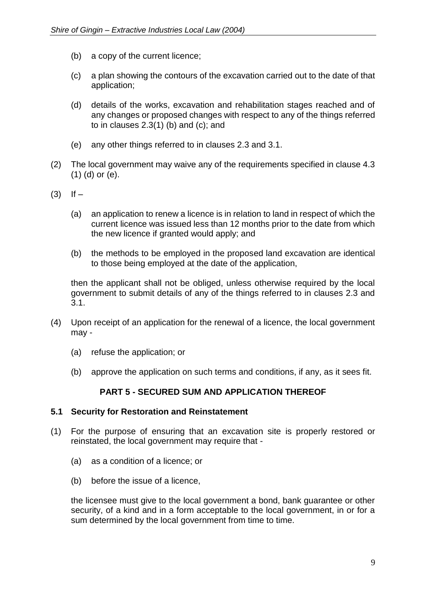- (b) a copy of the current licence;
- (c) a plan showing the contours of the excavation carried out to the date of that application;
- (d) details of the works, excavation and rehabilitation stages reached and of any changes or proposed changes with respect to any of the things referred to in clauses  $2.3(1)$  (b) and (c); and
- (e) any other things referred to in clauses 2.3 and 3.1.
- (2) The local government may waive any of the requirements specified in clause 4.3 (1) (d) or (e).
- $(3)$  If  $-$ 
	- (a) an application to renew a licence is in relation to land in respect of which the current licence was issued less than 12 months prior to the date from which the new licence if granted would apply; and
	- (b) the methods to be employed in the proposed land excavation are identical to those being employed at the date of the application,

then the applicant shall not be obliged, unless otherwise required by the local government to submit details of any of the things referred to in clauses 2.3 and 3.1.

- (4) Upon receipt of an application for the renewal of a licence, the local government may -
	- (a) refuse the application; or
	- (b) approve the application on such terms and conditions, if any, as it sees fit.

### **PART 5 - SECURED SUM AND APPLICATION THEREOF**

#### <span id="page-10-1"></span><span id="page-10-0"></span>**5.1 Security for Restoration and Reinstatement**

- (1) For the purpose of ensuring that an excavation site is properly restored or reinstated, the local government may require that -
	- (a) as a condition of a licence; or
	- (b) before the issue of a licence,

the licensee must give to the local government a bond, bank guarantee or other security, of a kind and in a form acceptable to the local government, in or for a sum determined by the local government from time to time.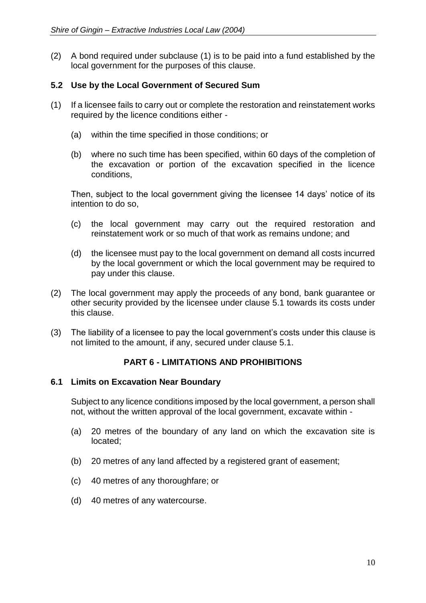(2) A bond required under subclause (1) is to be paid into a fund established by the local government for the purposes of this clause.

# <span id="page-11-0"></span>**5.2 Use by the Local Government of Secured Sum**

- (1) If a licensee fails to carry out or complete the restoration and reinstatement works required by the licence conditions either -
	- (a) within the time specified in those conditions; or
	- (b) where no such time has been specified, within 60 days of the completion of the excavation or portion of the excavation specified in the licence conditions,

Then, subject to the local government giving the licensee 14 days' notice of its intention to do so,

- (c) the local government may carry out the required restoration and reinstatement work or so much of that work as remains undone; and
- (d) the licensee must pay to the local government on demand all costs incurred by the local government or which the local government may be required to pay under this clause.
- (2) The local government may apply the proceeds of any bond, bank guarantee or other security provided by the licensee under clause 5.1 towards its costs under this clause.
- (3) The liability of a licensee to pay the local government's costs under this clause is not limited to the amount, if any, secured under clause 5.1.

### **PART 6 - LIMITATIONS AND PROHIBITIONS**

### <span id="page-11-2"></span><span id="page-11-1"></span>**6.1 Limits on Excavation Near Boundary**

Subject to any licence conditions imposed by the local government, a person shall not, without the written approval of the local government, excavate within -

- (a) 20 metres of the boundary of any land on which the excavation site is located;
- (b) 20 metres of any land affected by a registered grant of easement;
- (c) 40 metres of any thoroughfare; or
- (d) 40 metres of any watercourse.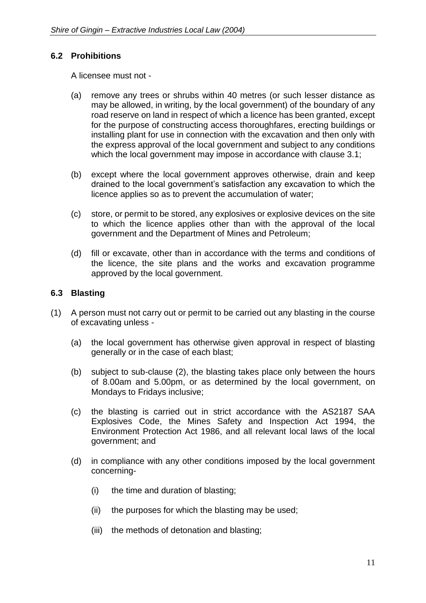# <span id="page-12-0"></span>**6.2 Prohibitions**

A licensee must not -

- (a) remove any trees or shrubs within 40 metres (or such lesser distance as may be allowed, in writing, by the local government) of the boundary of any road reserve on land in respect of which a licence has been granted, except for the purpose of constructing access thoroughfares, erecting buildings or installing plant for use in connection with the excavation and then only with the express approval of the local government and subject to any conditions which the local government may impose in accordance with clause 3.1;
- (b) except where the local government approves otherwise, drain and keep drained to the local government's satisfaction any excavation to which the licence applies so as to prevent the accumulation of water;
- (c) store, or permit to be stored, any explosives or explosive devices on the site to which the licence applies other than with the approval of the local government and the Department of Mines and Petroleum;
- (d) fill or excavate, other than in accordance with the terms and conditions of the licence, the site plans and the works and excavation programme approved by the local government.

# <span id="page-12-1"></span>**6.3 Blasting**

- (1) A person must not carry out or permit to be carried out any blasting in the course of excavating unless -
	- (a) the local government has otherwise given approval in respect of blasting generally or in the case of each blast;
	- (b) subject to sub-clause (2), the blasting takes place only between the hours of 8.00am and 5.00pm, or as determined by the local government, on Mondays to Fridays inclusive;
	- (c) the blasting is carried out in strict accordance with the AS2187 SAA Explosives Code, the Mines Safety and Inspection Act 1994, the Environment Protection Act 1986, and all relevant local laws of the local government; and
	- (d) in compliance with any other conditions imposed by the local government concerning-
		- (i) the time and duration of blasting;
		- (ii) the purposes for which the blasting may be used;
		- (iii) the methods of detonation and blasting;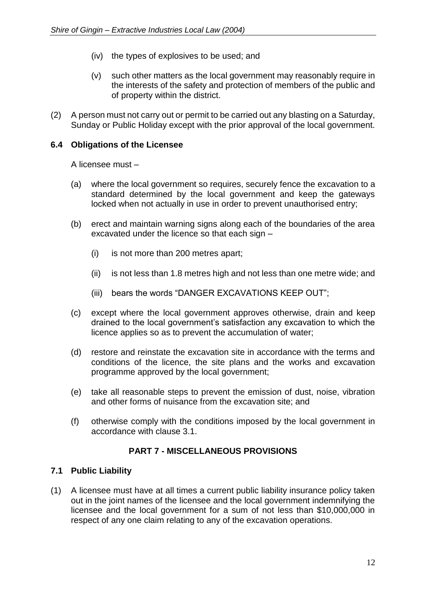- (iv) the types of explosives to be used; and
- (v) such other matters as the local government may reasonably require in the interests of the safety and protection of members of the public and of property within the district.
- (2) A person must not carry out or permit to be carried out any blasting on a Saturday, Sunday or Public Holiday except with the prior approval of the local government.

#### **6.4 Obligations of the Licensee**

A licensee must –

- (a) where the local government so requires, securely fence the excavation to a standard determined by the local government and keep the gateways locked when not actually in use in order to prevent unauthorised entry;
- (b) erect and maintain warning signs along each of the boundaries of the area excavated under the licence so that each sign –
	- (i) is not more than 200 metres apart;
	- (ii) is not less than 1.8 metres high and not less than one metre wide; and
	- (iii) bears the words "DANGER EXCAVATIONS KEEP OUT";
- (c) except where the local government approves otherwise, drain and keep drained to the local government's satisfaction any excavation to which the licence applies so as to prevent the accumulation of water;
- (d) restore and reinstate the excavation site in accordance with the terms and conditions of the licence, the site plans and the works and excavation programme approved by the local government;
- (e) take all reasonable steps to prevent the emission of dust, noise, vibration and other forms of nuisance from the excavation site; and
- (f) otherwise comply with the conditions imposed by the local government in accordance with clause 3.1.

### **PART 7 - MISCELLANEOUS PROVISIONS**

#### <span id="page-13-1"></span><span id="page-13-0"></span>**7.1 Public Liability**

(1) A licensee must have at all times a current public liability insurance policy taken out in the joint names of the licensee and the local government indemnifying the licensee and the local government for a sum of not less than \$10,000,000 in respect of any one claim relating to any of the excavation operations.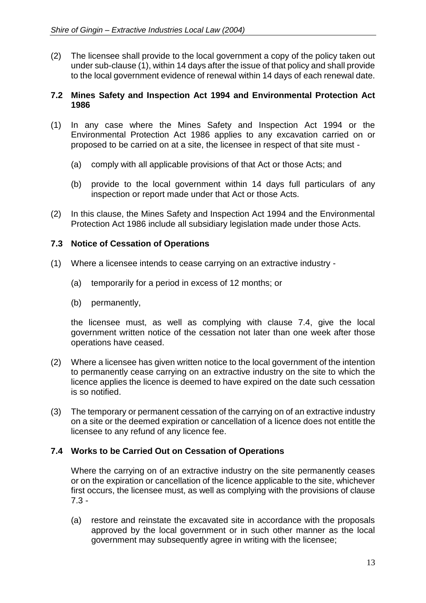(2) The licensee shall provide to the local government a copy of the policy taken out under sub-clause (1), within 14 days after the issue of that policy and shall provide to the local government evidence of renewal within 14 days of each renewal date.

#### <span id="page-14-0"></span>**7.2 Mines Safety and Inspection Act 1994 and Environmental Protection Act 1986**

- (1) In any case where the Mines Safety and Inspection Act 1994 or the Environmental Protection Act 1986 applies to any excavation carried on or proposed to be carried on at a site, the licensee in respect of that site must -
	- (a) comply with all applicable provisions of that Act or those Acts; and
	- (b) provide to the local government within 14 days full particulars of any inspection or report made under that Act or those Acts.
- (2) In this clause, the Mines Safety and Inspection Act 1994 and the Environmental Protection Act 1986 include all subsidiary legislation made under those Acts.

### <span id="page-14-1"></span>**7.3 Notice of Cessation of Operations**

- (1) Where a licensee intends to cease carrying on an extractive industry
	- (a) temporarily for a period in excess of 12 months; or
	- (b) permanently,

the licensee must, as well as complying with clause 7.4, give the local government written notice of the cessation not later than one week after those operations have ceased.

- (2) Where a licensee has given written notice to the local government of the intention to permanently cease carrying on an extractive industry on the site to which the licence applies the licence is deemed to have expired on the date such cessation is so notified.
- (3) The temporary or permanent cessation of the carrying on of an extractive industry on a site or the deemed expiration or cancellation of a licence does not entitle the licensee to any refund of any licence fee.

### <span id="page-14-2"></span>**7.4 Works to be Carried Out on Cessation of Operations**

Where the carrying on of an extractive industry on the site permanently ceases or on the expiration or cancellation of the licence applicable to the site, whichever first occurs, the licensee must, as well as complying with the provisions of clause 7.3 -

(a) restore and reinstate the excavated site in accordance with the proposals approved by the local government or in such other manner as the local government may subsequently agree in writing with the licensee;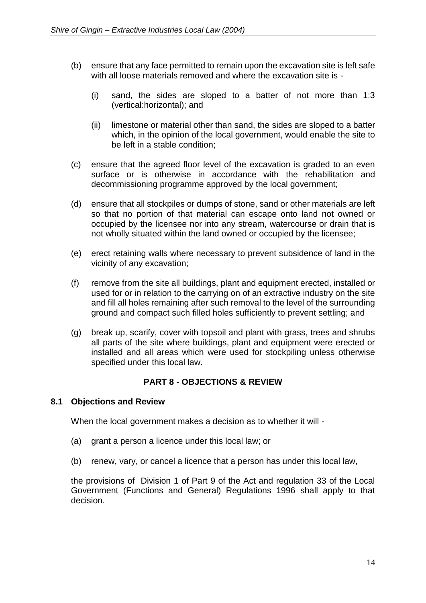- (b) ensure that any face permitted to remain upon the excavation site is left safe with all loose materials removed and where the excavation site is -
	- (i) sand, the sides are sloped to a batter of not more than 1:3 (vertical:horizontal); and
	- (ii) limestone or material other than sand, the sides are sloped to a batter which, in the opinion of the local government, would enable the site to be left in a stable condition;
- (c) ensure that the agreed floor level of the excavation is graded to an even surface or is otherwise in accordance with the rehabilitation and decommissioning programme approved by the local government;
- (d) ensure that all stockpiles or dumps of stone, sand or other materials are left so that no portion of that material can escape onto land not owned or occupied by the licensee nor into any stream, watercourse or drain that is not wholly situated within the land owned or occupied by the licensee;
- (e) erect retaining walls where necessary to prevent subsidence of land in the vicinity of any excavation;
- (f) remove from the site all buildings, plant and equipment erected, installed or used for or in relation to the carrying on of an extractive industry on the site and fill all holes remaining after such removal to the level of the surrounding ground and compact such filled holes sufficiently to prevent settling; and
- (g) break up, scarify, cover with topsoil and plant with grass, trees and shrubs all parts of the site where buildings, plant and equipment were erected or installed and all areas which were used for stockpiling unless otherwise specified under this local law.

# **PART 8 - OBJECTIONS & REVIEW**

#### <span id="page-15-0"></span>**8.1 Objections and Review**

When the local government makes a decision as to whether it will -

- (a) grant a person a licence under this local law; or
- (b) renew, vary, or cancel a licence that a person has under this local law,

the provisions of Division 1 of Part 9 of the Act and regulation 33 of the Local Government (Functions and General) Regulations 1996 shall apply to that decision.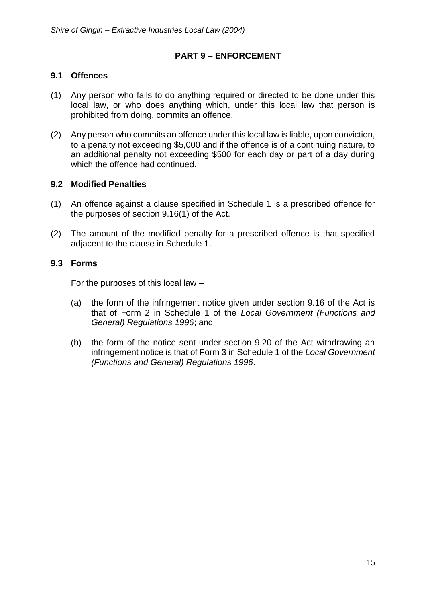# **PART 9 – ENFORCEMENT**

### **9.1 Offences**

- (1) Any person who fails to do anything required or directed to be done under this local law, or who does anything which, under this local law that person is prohibited from doing, commits an offence.
- (2) Any person who commits an offence under this local law is liable, upon conviction, to a penalty not exceeding \$5,000 and if the offence is of a continuing nature, to an additional penalty not exceeding \$500 for each day or part of a day during which the offence had continued.

### **9.2 Modified Penalties**

- (1) An offence against a clause specified in Schedule 1 is a prescribed offence for the purposes of section 9.16(1) of the Act.
- (2) The amount of the modified penalty for a prescribed offence is that specified adjacent to the clause in Schedule 1.

### **9.3 Forms**

For the purposes of this local law –

- (a) the form of the infringement notice given under section 9.16 of the Act is that of Form 2 in Schedule 1 of the *Local Government (Functions and General) Regulations 1996*; and
- (b) the form of the notice sent under section 9.20 of the Act withdrawing an infringement notice is that of Form 3 in Schedule 1 of the *Local Government (Functions and General) Regulations 1996*.